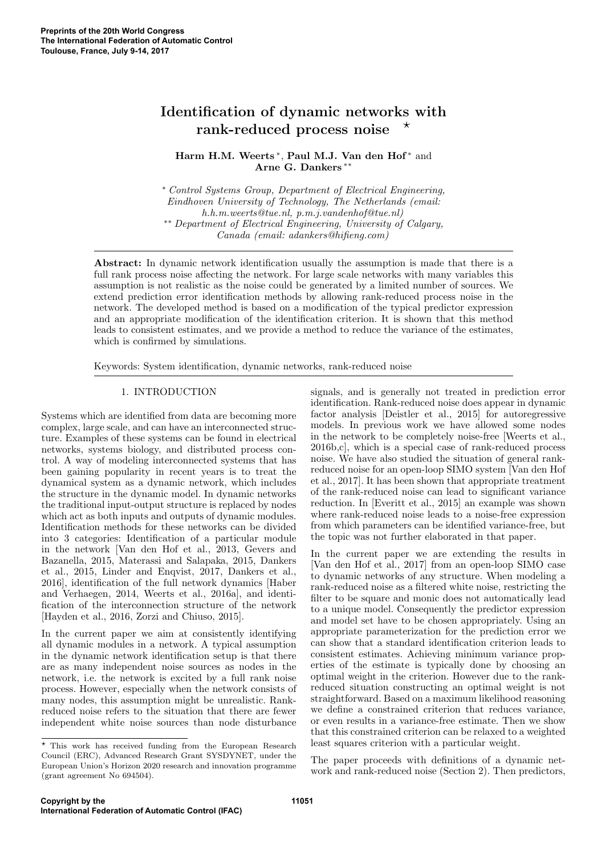# Identification of dynamic networks with rank-reduced process noise

Harm H.M. Weerts<sup>\*</sup>, Paul M.J. Van den Hof<sup>\*</sup> and Arne G. Dankers ∗∗

<sup>∗</sup> Control Systems Group, Department of Electrical Engineering, Eindhoven University of Technology, The Netherlands (email: h.h.m.weerts@tue.nl, p.m.j.vandenhof@tue.nl) ∗∗ Department of Electrical Engineering, University of Calgary, Canada (email: adankers@hifieng.com)

Abstract: In dynamic network identification usually the assumption is made that there is a full rank process noise affecting the network. For large scale networks with many variables this assumption is not realistic as the noise could be generated by a limited number of sources. We extend prediction error identification methods by allowing rank-reduced process noise in the network. The developed method is based on a modification of the typical predictor expression and an appropriate modification of the identification criterion. It is shown that this method leads to consistent estimates, and we provide a method to reduce the variance of the estimates, which is confirmed by simulations.

Keywords: System identification, dynamic networks, rank-reduced noise

# 1. INTRODUCTION

Systems which are identified from data are becoming more complex, large scale, and can have an interconnected structure. Examples of these systems can be found in electrical networks, systems biology, and distributed process control. A way of modeling interconnected systems that has been gaining popularity in recent years is to treat the dynamical system as a dynamic network, which includes the structure in the dynamic model. In dynamic networks the traditional input-output structure is replaced by nodes which act as both inputs and outputs of dynamic modules. Identification methods for these networks can be divided into 3 categories: Identification of a particular module in the network [Van den Hof et al., 2013, Gevers and Bazanella, 2015, Materassi and Salapaka, 2015, Dankers et al., 2015, Linder and Enqvist, 2017, Dankers et al., 2016], identification of the full network dynamics [Haber and Verhaegen, 2014, Weerts et al., 2016a], and identification of the interconnection structure of the network [Hayden et al., 2016, Zorzi and Chiuso, 2015].

In the current paper we aim at consistently identifying all dynamic modules in a network. A typical assumption in the dynamic network identification setup is that there are as many independent noise sources as nodes in the network, i.e. the network is excited by a full rank noise process. However, especially when the network consists of many nodes, this assumption might be unrealistic. Rankreduced noise refers to the situation that there are fewer independent white noise sources than node disturbance

 $^\star$  This work has received funding from the European Research Council (ERC), Advanced Research Grant SYSDYNET, under the European Union's Horizon 2020 research and innovation programme (grant agreement No 694504).

signals, and is generally not treated in prediction error identification. Rank-reduced noise does appear in dynamic factor analysis [Deistler et al., 2015] for autoregressive models. In previous work we have allowed some nodes in the network to be completely noise-free [Weerts et al., 2016b,c], which is a special case of rank-reduced process noise. We have also studied the situation of general rankreduced noise for an open-loop SIMO system [Van den Hof et al., 2017]. It has been shown that appropriate treatment of the rank-reduced noise can lead to significant variance reduction. In [Everitt et al., 2015] an example was shown where rank-reduced noise leads to a noise-free expression from which parameters can be identified variance-free, but the topic was not further elaborated in that paper.

In the current paper we are extending the results in [Van den Hof et al., 2017] from an open-loop SIMO case to dynamic networks of any structure. When modeling a rank-reduced noise as a filtered white noise, restricting the filter to be square and monic does not automatically lead to a unique model. Consequently the predictor expression and model set have to be chosen appropriately. Using an appropriate parameterization for the prediction error we can show that a standard identification criterion leads to consistent estimates. Achieving minimum variance properties of the estimate is typically done by choosing an optimal weight in the criterion. However due to the rankreduced situation constructing an optimal weight is not straightforward. Based on a maximum likelihood reasoning we define a constrained criterion that reduces variance, or even results in a variance-free estimate. Then we show that this constrained criterion can be relaxed to a weighted least squares criterion with a particular weight.

The paper proceeds with definitions of a dynamic network and rank-reduced noise (Section 2). Then predictors,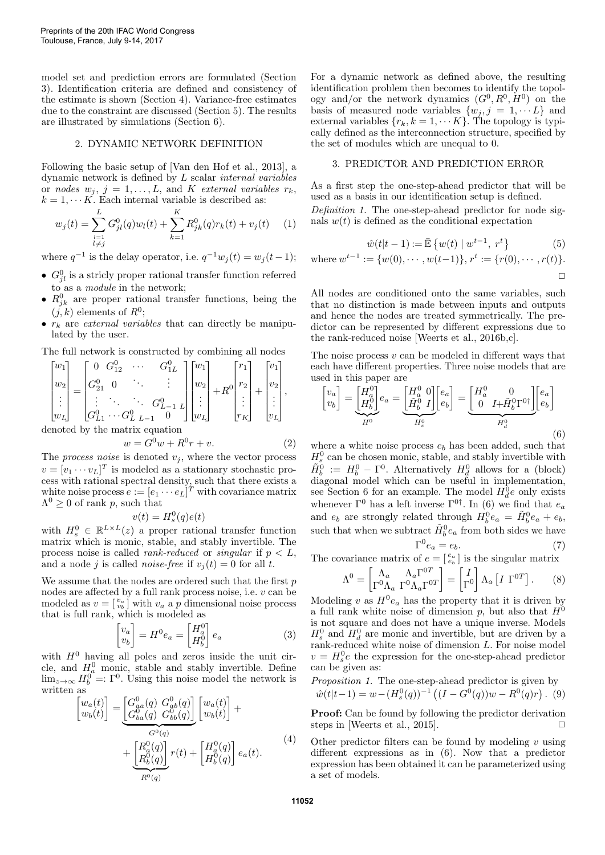model set and prediction errors are formulated (Section 3). Identification criteria are defined and consistency of the estimate is shown (Section 4). Variance-free estimates due to the constraint are discussed (Section 5). The results are illustrated by simulations (Section 6).

# 2. DYNAMIC NETWORK DEFINITION

Following the basic setup of [Van den Hof et al., 2013], a dynamic network is defined by L scalar internal variables or nodes  $w_j$ ,  $j = 1, ..., L$ , and K external variables  $r_k$ ,  $k = 1, \dots K$ . Each internal variable is described as:

$$
w_j(t) = \sum_{\substack{l=1\\l \neq j}}^L G_{jl}^0(q)w_l(t) + \sum_{k=1}^K R_{jk}^0(q)r_k(t) + v_j(t) \tag{1}
$$

where  $q^{-1}$  is the delay operator, i.e.  $q^{-1}w_j(t) = w_j(t-1);$ 

- $G_{jl}^0$  is a stricly proper rational transfer function referred to as a module in the network;
- $R_{jk}^0$  are proper rational transfer functions, being the  $(j, k)$  elements of  $R^0$ ;
- $r_k$  are *external variables* that can directly be manipulated by the user.

The full network is constructed by combining all nodes

$$
\begin{bmatrix} w_1 \\ w_2 \\ \vdots \\ w_L \end{bmatrix} = \begin{bmatrix} 0 & G_{12}^0 & \cdots & G_{1L}^0 \\ G_{21}^0 & 0 & \ddots & \vdots \\ \vdots & \ddots & \ddots & G_{L-1}^0 & L \\ G_{L1}^0 & \cdots & G_{L-L-1}^0 & 0 \end{bmatrix} \begin{bmatrix} w_1 \\ w_2 \\ \vdots \\ w_L \end{bmatrix} + R^0 \begin{bmatrix} r_1 \\ r_2 \\ \vdots \\ r_K \end{bmatrix} + \begin{bmatrix} v_1 \\ v_2 \\ \vdots \\ v_L \end{bmatrix},
$$
\ndenoted by the matrix equation

$$
w = G^{0}w + R^{0}r + v.
$$
 (2)

The *process noise* is denoted  $v_j$ , where the vector process  $v = [v_1 \cdots v_L]^T$  is modeled as a stationary stochastic process with rational spectral density, such that there exists a white noise process  $e := [e_1 \cdots e_L]^T$  with covariance matrix  $\Lambda^0 \geq 0$  of rank p, such that

$$
v(t) = H_s^0(q)e(t)
$$

with  $H_s^0 \in \mathbb{R}^{L \times L}(z)$  a proper rational transfer function matrix which is monic, stable, and stably invertible. The process noise is called *rank-reduced* or *singular* if  $p < L$ , and a node j is called *noise-free* if  $v_i(t) = 0$  for all t.

We assume that the nodes are ordered such that the first  $p$ nodes are affected by a full rank process noise, i.e. v can be modeled as  $v = \begin{bmatrix} v_a \\ v_b \end{bmatrix}$  with  $v_a$  a p dimensional noise process that is full rank, which is modeled as

$$
\begin{bmatrix} v_a \\ v_b \end{bmatrix} = H^0 e_a = \begin{bmatrix} H_a^0 \\ H_b^0 \end{bmatrix} e_a \tag{3}
$$

with  $H^0$  having all poles and zeros inside the unit circle, and  $H^0_a$  monic, stable and stably invertible. Define  $\lim_{z\to\infty} H_b^0 =: \Gamma^0$ . Using this noise model the network is written as

$$
\begin{bmatrix} w_a(t) \\ w_b(t) \end{bmatrix} = \underbrace{\begin{bmatrix} G_{aa}^0(q) & G_{ab}^0(q) \\ G_{ba}^0(q) & G_{bb}^0(q) \end{bmatrix}}_{G^0(q)} \underbrace{\begin{bmatrix} w_a(t) \\ w_b(t) \end{bmatrix}}_{H_b^0(q)} + \underbrace{\begin{bmatrix} R_a^0(q) \\ R_b^0(q) \end{bmatrix}}_{R^0(q)} r(t) + \begin{bmatrix} H_a^0(q) \\ H_b^0(q) \end{bmatrix} e_a(t).
$$
\n(4)

For a dynamic network as defined above, the resulting identification problem then becomes to identify the topology and/or the network dynamics  $(G^0, R^0, H^0)$  on the basis of measured node variables  $\{w_j, j = 1, \dots L\}$  and external variables  $\{r_k, k = 1, \cdots K\}$ . The topology is typically defined as the interconnection structure, specified by the set of modules which are unequal to 0.

## 3. PREDICTOR AND PREDICTION ERROR

As a first step the one-step-ahead predictor that will be used as a basis in our identification setup is defined.

Definition 1. The one-step-ahead predictor for node signals  $w(t)$  is defined as the conditional expectation

$$
\hat{w}(t|t-1) := \bar{\mathbb{E}}\left\{ w(t) \mid w^{t-1}, \ r^t \right\} \tag{5}
$$

where 
$$
w^{t-1} := \{w(0), \dots, w(t-1)\}, r^t := \{r(0), \dots, r(t)\}.
$$

All nodes are conditioned onto the same variables, such that no distinction is made between inputs and outputs and hence the nodes are treated symmetrically. The predictor can be represented by different expressions due to the rank-reduced noise [Weerts et al., 2016b,c].

The noise process  $v$  can be modeled in different ways that each have different properties. Three noise models that are used in this paper are

$$
\begin{bmatrix} v_a \\ v_b \end{bmatrix} = \underbrace{\begin{bmatrix} H_a^0 \\ H_b^0 \end{bmatrix}}_{H^0} e_a = \underbrace{\begin{bmatrix} H_a^0 & 0 \\ \tilde{H}_b^0 & I \end{bmatrix}}_{H_s^0} \underbrace{\begin{bmatrix} e_a \\ e_b \end{bmatrix}}_{H_a^0} = \underbrace{\begin{bmatrix} H_a^0 & 0 \\ 0 & I + \tilde{H}_b^0 \Gamma^{0\dagger} \end{bmatrix}}_{H_d^0} \underbrace{\begin{bmatrix} e_a \\ e_b \end{bmatrix}}_{H_a^0}
$$
\n(6)

where a white noise process  $e<sub>b</sub>$  has been added, such that  $H_s^0$  can be chosen monic, stable, and stably invertible with  $\tilde{H}_b^0 := H_b^0 - \Gamma^0$ . Alternatively  $H_d^0$  allows for a (block) diagonal model which can be useful in implementation, see Section 6 for an example. The model  $H_d^0e$  only exists whenever  $\Gamma^0$  has a left inverse  $\Gamma^{0\dagger}$ . In (6) we find that  $e_a$ and  $e_b$  are strongly related through  $H_b^0 e_a = \tilde{H}_b^0 e_a + e_b$ , such that when we subtract  $\tilde{H}^0_b e_a$  from both sides we have

$$
\Gamma^0 e_a = e_b. \tag{7}
$$

The covariance matrix of  $e = \begin{bmatrix} e_a \\ e_b \end{bmatrix}$  is the singular matrix

$$
\Lambda^{0} = \begin{bmatrix} \Lambda_{a} & \Lambda_{a}\Gamma^{0T} \\ \Gamma^{0}\Lambda_{a} & \Gamma^{0}\Lambda_{a}\Gamma^{0T} \end{bmatrix} = \begin{bmatrix} I \\ \Gamma^{0} \end{bmatrix} \Lambda_{a} \begin{bmatrix} I & \Gamma^{0T} \end{bmatrix}.
$$
 (8)

Modeling v as  $H^0e_a$  has the property that it is driven by a full rank white noise of dimension p, but also that  $H^0$ is not square and does not have a unique inverse. Models  $H_s^0$  and  $H_d^0$  are monic and invertible, but are driven by a rank-reduced white noise of dimension L. For noise model  $v = H_s^0 e$  the expression for the one-step-ahead predictor can be given as:

Proposition 1. The one-step-ahead predictor is given by  $\hat{w}(t|t-1) = w - (H_s^0(q))^{-1} ((I - G^0(q))w - R^0(q)r)$ . (9)

Proof: Can be found by following the predictor derivation steps in [Weerts et al.,  $2015$ ].

Other predictor filters can be found by modeling  $v$  using different expressions as in (6). Now that a predictor expression has been obtained it can be parameterized using a set of models.

**11052**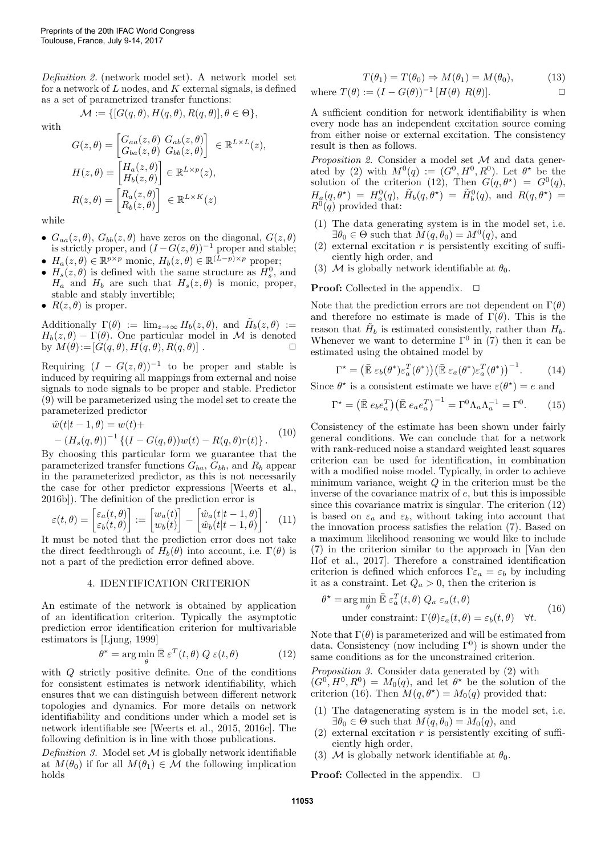Definition 2. (network model set). A network model set for a network of  $L$  nodes, and  $K$  external signals, is defined as a set of parametrized transfer functions:

$$
\mathcal{M} := \{ [G(q, \theta), H(q, \theta), R(q, \theta)], \theta \in \Theta \},
$$

with

$$
G(z, \theta) = \begin{bmatrix} G_{aa}(z, \theta) & G_{ab}(z, \theta) \\ G_{ba}(z, \theta) & G_{bb}(z, \theta) \end{bmatrix} \in \mathbb{R}^{L \times L}(z),
$$

$$
H(z, \theta) = \begin{bmatrix} H_a(z, \theta) \\ H_b(z, \theta) \end{bmatrix} \in \mathbb{R}^{L \times p}(z),
$$

$$
R(z, \theta) = \begin{bmatrix} R_a(z, \theta) \\ R_b(z, \theta) \end{bmatrix} \in \mathbb{R}^{L \times K}(z)
$$

while

- $G_{aa}(z, \theta)$ ,  $G_{bb}(z, \theta)$  have zeros on the diagonal,  $G(z, \theta)$ is strictly proper, and  $(I - G(z, \theta))^{-1}$  proper and stable;
- $H_a(z, \theta) \in \mathbb{R}^{p \times p}$  monic,  $H_b(z, \theta) \in \mathbb{R}^{(L-p) \times p}$  proper;
- $H_s(z, \theta)$  is defined with the same structure as  $H_s^0$ , and  $H_a$  and  $H_b$  are such that  $H_s(z, \theta)$  is monic, proper, stable and stably invertible;
- $R(z, \theta)$  is proper.

Additionally  $\Gamma(\theta) := \lim_{z \to \infty} H_b(z, \theta)$ , and  $\tilde{H}_b(z, \theta) :=$  $H_b(z,\theta) - \Gamma(\theta)$ . One particular model in M is denoted by  $M(\theta) := [G(q, \theta), H(q, \theta), R(q, \theta)]$ .

Requiring  $(I - G(z, \theta))^{-1}$  to be proper and stable is induced by requiring all mappings from external and noise signals to node signals to be proper and stable. Predictor (9) will be parameterized using the model set to create the parameterized predictor

$$
\hat{w}(t|t-1,\theta) = w(t) +- (H_s(q,\theta))^{-1} \{ (I - G(q,\theta))w(t) - R(q,\theta)r(t) \}.
$$
 (10)

By choosing this particular form we guarantee that the parameterized transfer functions  $G_{ba}$ ,  $G_{bb}$ , and  $R_b$  appear in the parameterized predictor, as this is not necessarily the case for other predictor expressions [Weerts et al., 2016b]). The definition of the prediction error is

$$
\varepsilon(t,\theta) = \begin{bmatrix} \varepsilon_a(t,\theta) \\ \varepsilon_b(t,\theta) \end{bmatrix} := \begin{bmatrix} w_a(t) \\ w_b(t) \end{bmatrix} - \begin{bmatrix} \hat{w}_a(t|t-1,\theta) \\ \hat{w}_b(t|t-1,\theta) \end{bmatrix}.
$$
 (11)

It must be noted that the prediction error does not take the direct feedthrough of  $H_b(\theta)$  into account, i.e.  $\Gamma(\theta)$  is not a part of the prediction error defined above.

#### 4. IDENTIFICATION CRITERION

An estimate of the network is obtained by application of an identification criterion. Typically the asymptotic prediction error identification criterion for multivariable estimators is [Ljung, 1999]

$$
\theta^* = \arg\min_{\theta} \bar{\mathbb{E}} \,\varepsilon^T(t,\theta) \, Q \,\varepsilon(t,\theta) \tag{12}
$$

with Q strictly positive definite. One of the conditions for consistent estimates is network identifiability, which ensures that we can distinguish between different network topologies and dynamics. For more details on network identifiability and conditions under which a model set is network identifiable see [Weerts et al., 2015, 2016c]. The following definition is in line with those publications.

Definition 3. Model set  $M$  is globally network identifiable at  $M(\theta_0)$  if for all  $M(\theta_1) \in \mathcal{M}$  the following implication holds

$$
T(\theta_1) = T(\theta_0) \Rightarrow M(\theta_1) = M(\theta_0), \tag{13}
$$

where 
$$
T(\theta) := (I - G(\theta))^{-1} [H(\theta) R(\theta)].
$$

A sufficient condition for network identifiability is when every node has an independent excitation source coming from either noise or external excitation. The consistency result is then as follows.

Proposition 2. Consider a model set  $\mathcal M$  and data generated by (2) with  $M^0(q) := (G^0, H^0, R^0)$ . Let  $\theta^*$  be the solution of the criterion (12), Then  $G(q, \theta^*) = G^0(q)$ ,  $H_a(q, \theta^*) = H_a^0(q), \ \tilde{H}_b(q, \theta^*) = \tilde{H}_b^0(q), \text{ and } R(q, \theta^*) =$  $R^{0}(q)$  provided that:

- (1) The data generating system is in the model set, i.e.  $\exists \theta_0 \in \Theta$  such that  $M(q, \theta_0) = M^0(q)$ , and
- (2) external excitation  $r$  is persistently exciting of sufficiently high order, and
- (3) M is globally network identifiable at  $\theta_0$ .

**Proof:** Collected in the appendix.  $\Box$ 

Note that the prediction errors are not dependent on  $\Gamma(\theta)$ and therefore no estimate is made of  $\Gamma(\theta)$ . This is the reason that  $\tilde{H}_b$  is estimated consistently, rather than  $H_b$ . Whenever we want to determine  $\Gamma^0$  in (7) then it can be estimated using the obtained model by

$$
\Gamma^* = \left(\bar{\mathbb{E}} \,\varepsilon_b(\theta^*)\varepsilon_a^T(\theta^*)\right) \left(\bar{\mathbb{E}} \,\varepsilon_a(\theta^*)\varepsilon_a^T(\theta^*)\right)^{-1}.\tag{14}
$$

Since  $\theta^*$  is a consistent estimate we have  $\varepsilon(\theta^*) = e$  and

$$
\Gamma^* = \left(\mathbb{E} e_b e_a^T\right) \left(\mathbb{E} e_a e_a^T\right)^{-1} = \Gamma^0 \Lambda_a \Lambda_a^{-1} = \Gamma^0. \tag{15}
$$

Consistency of the estimate has been shown under fairly general conditions. We can conclude that for a network with rank-reduced noise a standard weighted least squares criterion can be used for identification, in combination with a modified noise model. Typically, in order to achieve minimum variance, weight  $Q$  in the criterion must be the inverse of the covariance matrix of  $e$ , but this is impossible since this covariance matrix is singular. The criterion (12) is based on  $\varepsilon_a$  and  $\varepsilon_b$ , without taking into account that the innovation process satisfies the relation (7). Based on a maximum likelihood reasoning we would like to include (7) in the criterion similar to the approach in [Van den Hof et al., 2017]. Therefore a constrained identification criterion is defined which enforces  $\Gamma \varepsilon_a = \varepsilon_b$  by including it as a constraint. Let  $Q_a > 0$ , then the criterion is

$$
\theta^* = \arg\min_{\theta} \bar{\mathbb{E}} \,\varepsilon_a^T(t,\theta) \, Q_a \, \varepsilon_a(t,\theta)
$$
  
under constraint:  $\Gamma(\theta)\varepsilon_a(t,\theta) = \varepsilon_b(t,\theta) \quad \forall t.$  (16)

Note that  $\Gamma(\theta)$  is parameterized and will be estimated from data. Consistency (now including  $\Gamma^0$ ) is shown under the same conditions as for the unconstrained criterion.

Proposition 3. Consider data generated by (2) with  $(G^0, H^0, R^0) = M_0(q)$ , and let  $\theta^*$  be the solution of the criterion (16). Then  $M(q, \theta^*) = M_0(q)$  provided that:

- (1) The datagenerating system is in the model set, i.e.  $\exists \theta_0 \in \Theta$  such that  $M(q, \theta_0) = M_0(q)$ , and
- (2) external excitation  $r$  is persistently exciting of sufficiently high order,
- (3) M is globally network identifiable at  $\theta_0$ .

**Proof:** Collected in the appendix.  $\Box$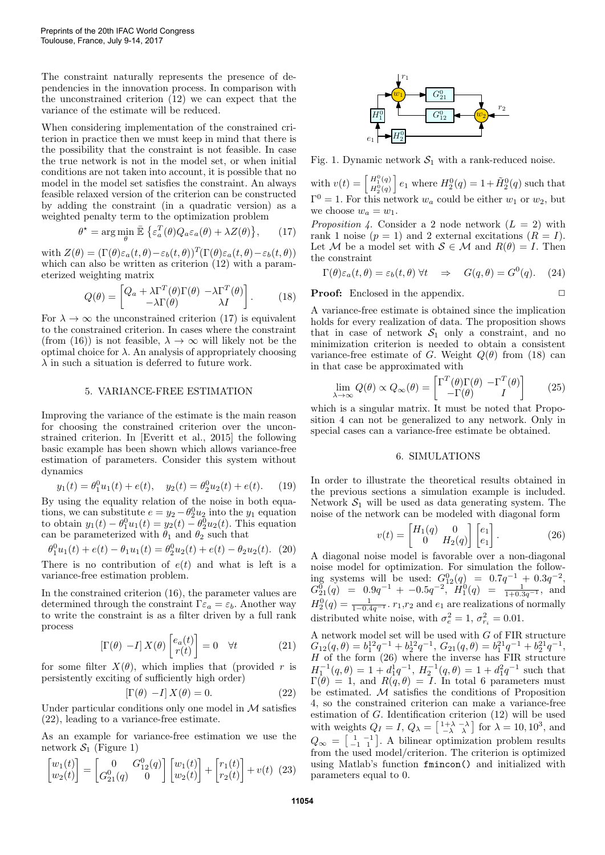The constraint naturally represents the presence of dependencies in the innovation process. In comparison with the unconstrained criterion (12) we can expect that the variance of the estimate will be reduced.

When considering implementation of the constrained criterion in practice then we must keep in mind that there is the possibility that the constraint is not feasible. In case the true network is not in the model set, or when initial conditions are not taken into account, it is possible that no model in the model set satisfies the constraint. An always feasible relaxed version of the criterion can be constructed by adding the constraint (in a quadratic version) as a weighted penalty term to the optimization problem

$$
\theta^* = \arg\min_{\theta} \bar{\mathbb{E}} \left\{ \varepsilon_a^T(\theta) Q_a \varepsilon_a(\theta) + \lambda Z(\theta) \right\}, \qquad (17)
$$

with  $Z(\theta) = (\Gamma(\theta)\varepsilon_a(t,\theta) - \varepsilon_b(t,\theta))^T (\Gamma(\theta)\varepsilon_a(t,\theta) - \varepsilon_b(t,\theta))$ which can also be written as criterion  $(12)$  with a parameterized weighting matrix

$$
Q(\theta) = \begin{bmatrix} Q_a + \lambda \Gamma^T(\theta) \Gamma(\theta) & -\lambda \Gamma^T(\theta) \\ -\lambda \Gamma(\theta) & \lambda I \end{bmatrix}.
$$
 (18)

For  $\lambda \to \infty$  the unconstrained criterion (17) is equivalent to the constrained criterion. In cases where the constraint (from (16)) is not feasible,  $\lambda \to \infty$  will likely not be the optimal choice for  $\lambda$ . An analysis of appropriately choosing  $\lambda$  in such a situation is deferred to future work.

## 5. VARIANCE-FREE ESTIMATION

Improving the variance of the estimate is the main reason for choosing the constrained criterion over the unconstrained criterion. In [Everitt et al., 2015] the following basic example has been shown which allows variance-free estimation of parameters. Consider this system without dynamics

$$
y_1(t) = \theta_1^0 u_1(t) + e(t), \quad y_2(t) = \theta_2^0 u_2(t) + e(t).
$$
 (19)

By using the equality relation of the noise in both equations, we can substitute  $e = y_2 - \theta_2^0 u_2$  into the  $y_1$  equation to obtain  $y_1(t) - \theta_1^0 u_1(t) = y_2(t) - \theta_2^0 u_2(t)$ . This equation can be parameterized with  $\theta_1$  and  $\theta_2$  such that

$$
\theta_1^0 u_1(t) + e(t) - \theta_1 u_1(t) = \theta_2^0 u_2(t) + e(t) - \theta_2 u_2(t). \tag{20}
$$

There is no contribution of  $e(t)$  and what is left is a variance-free estimation problem.

In the constrained criterion (16), the parameter values are determined through the constraint  $\Gamma \varepsilon_a = \varepsilon_b$ . Another way to write the constraint is as a filter driven by a full rank process

$$
\left[\Gamma(\theta) - I\right] X(\theta) \begin{bmatrix} e_a(t) \\ r(t) \end{bmatrix} = 0 \quad \forall t \tag{21}
$$

for some filter  $X(\theta)$ , which implies that (provided r is persistently exciting of sufficiently high order)

$$
\left[\Gamma(\theta) - I\right]X(\theta) = 0. \tag{22}
$$

Under particular conditions only one model in  $\mathcal M$  satisfies (22), leading to a variance-free estimate.

As an example for variance-free estimation we use the network  $S_1$  (Figure 1)

$$
\begin{bmatrix} w_1(t) \\ w_2(t) \end{bmatrix} = \begin{bmatrix} 0 & G_{12}^0(q) \\ G_{21}^0(q) & 0 \end{bmatrix} \begin{bmatrix} w_1(t) \\ w_2(t) \end{bmatrix} + \begin{bmatrix} r_1(t) \\ r_2(t) \end{bmatrix} + v(t) \tag{23}
$$



Fig. 1. Dynamic network  $S_1$  with a rank-reduced noise.

with  $v(t) = \begin{bmatrix} H_1^0(q) \\ H_2^0(q) \end{bmatrix}$  $H_1^{0}(q)$   $e_1$  where  $H_2^{0}(q) = 1 + \tilde{H}_2^{0}(q)$  such that  $\Gamma^0 = 1$ . For this network  $w_a$  could be either  $w_1$  or  $w_2$ , but we choose  $w_a = w_1$ .

*Proposition 4.* Consider a 2 node network  $(L = 2)$  with rank 1 noise  $(p = 1)$  and 2 external excitations  $(R = I)$ . Let M be a model set with  $S \in \mathcal{M}$  and  $R(\theta) = I$ . Then the constraint

$$
\Gamma(\theta)\varepsilon_a(t,\theta) = \varepsilon_b(t,\theta) \,\forall t \quad \Rightarrow \quad G(q,\theta) = G^0(q). \tag{24}
$$

**Proof:** Enclosed in the appendix.  $\Box$ 

A variance-free estimate is obtained since the implication holds for every realization of data. The proposition shows that in case of network  $S_1$  only a constraint, and no minimization criterion is needed to obtain a consistent variance-free estimate of G. Weight  $Q(\theta)$  from (18) can in that case be approximated with

$$
\lim_{\lambda \to \infty} Q(\theta) \propto Q_{\infty}(\theta) = \begin{bmatrix} \Gamma^T(\theta) \Gamma(\theta) & -\Gamma^T(\theta) \\ -\Gamma(\theta) & I \end{bmatrix}
$$
 (25)

which is a singular matrix. It must be noted that Proposition 4 can not be generalized to any network. Only in special cases can a variance-free estimate be obtained.

#### 6. SIMULATIONS

In order to illustrate the theoretical results obtained in the previous sections a simulation example is included. Network  $S_1$  will be used as data generating system. The noise of the network can be modeled with diagonal form

$$
v(t) = \begin{bmatrix} H_1(q) & 0 \\ 0 & H_2(q) \end{bmatrix} \begin{bmatrix} e_1 \\ e_1 \end{bmatrix}.
$$
 (26)

A diagonal noise model is favorable over a non-diagonal noise model for optimization. For simulation the following systems will be used:  $G_{12}^0(q) = 0.7q^{-1} + 0.3q^{-2}$ ,  $G_{21}^{\overline{0}}(q) = 0.9q^{-1} + -0.5q^{-2}, \tilde{H}_{1}^{\overline{0}}(q) = \frac{1}{1+0.3q^{-1}}, \text{ and}$  $H_2^0(q) = \frac{1}{1-0.4q^{-1}}$ .  $r_1, r_2$  and  $e_1$  are realizations of normally distributed white noise, with  $\sigma_e^2 = 1$ ,  $\sigma_{r_i}^2 = 0.01$ .

A network model set will be used with  $G$  of FIR structure  $G_{12}(q, \theta) = b_1^{12}q^{-1} + b_2^{12}q^{-1}, G_{21}(q, \theta) = b_1^{21}q^{-1} + b_2^{21}q^{-1},$  $H$  of the form (26) where the inverse has FIR structure  $H_1^{-1}(q,\theta) = 1 + d_1^1 q^{-1}, H_2^{-1}(q,\theta) = 1 + d_1^2 q^{-1}$  such that  $\Gamma(\theta) = 1$ , and  $R(q, \theta) = I$ . In total 6 parameters must be estimated. M satisfies the conditions of Proposition 4, so the constrained criterion can make a variance-free estimation of G. Identification criterion (12) will be used with weights  $Q_I = I$ ,  $Q_{\lambda} = \begin{bmatrix} 1+\lambda & -\lambda \\ -\lambda & \lambda \end{bmatrix}$  for  $\lambda = 10, 10^3$ , and  $Q_{\infty} = \begin{bmatrix} 1 & -1 \\ -1 & 1 \end{bmatrix}$ . A bilinear optimization problem results from the used model/criterion. The criterion is optimized using Matlab's function fmincon() and initialized with parameters equal to 0.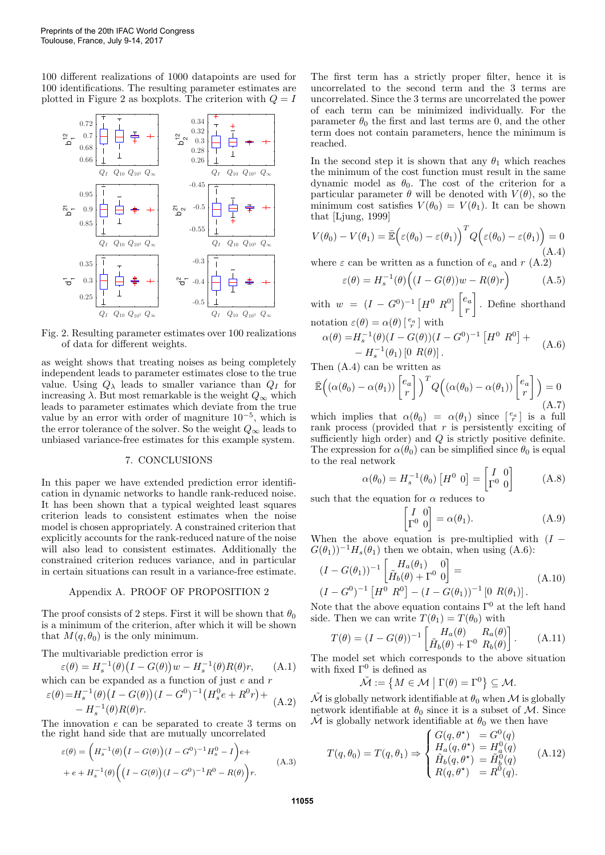100 different realizations of 1000 datapoints are used for 100 identifications. The resulting parameter estimates are plotted in Figure 2 as boxplots. The criterion with  $Q = I$ 



Fig. 2. Resulting parameter estimates over 100 realizations of data for different weights.

as weight shows that treating noises as being completely independent leads to parameter estimates close to the true value. Using  $Q_{\lambda}$  leads to smaller variance than  $Q_I$  for increasing  $\lambda$ . But most remarkable is the weight  $Q_{\infty}$  which leads to parameter estimates which deviate from the true value by an error with order of magniture  $10^{-5}$ , which is the error tolerance of the solver. So the weight  $Q_{\infty}$  leads to unbiased variance-free estimates for this example system.

#### 7. CONCLUSIONS

In this paper we have extended prediction error identification in dynamic networks to handle rank-reduced noise. It has been shown that a typical weighted least squares criterion leads to consistent estimates when the noise model is chosen appropriately. A constrained criterion that explicitly accounts for the rank-reduced nature of the noise will also lead to consistent estimates. Additionally the constrained criterion reduces variance, and in particular in certain situations can result in a variance-free estimate.

## Appendix A. PROOF OF PROPOSITION 2

The proof consists of 2 steps. First it will be shown that  $\theta_0$ is a minimum of the criterion, after which it will be shown that  $M(q, \theta_0)$  is the only minimum.

The multivariable prediction error is

$$
\varepsilon(\theta) = H_s^{-1}(\theta) \big(I - G(\theta)\big) w - H_s^{-1}(\theta) R(\theta) r, \tag{A.1}
$$

which can be expanded as a function of just  $e$  and  $r$  $\varepsilon^{(\rho)}$ 

$$
\varepsilon(\theta) = H_s^{-1}(\theta) \left( I - G(\theta) \right) (I - G^0)^{-1} \left( H_s^0 e + R^0 r \right) +
$$
  
- 
$$
H_s^{-1}(\theta) R(\theta) r.
$$
 (A.2)

The innovation e can be separated to create 3 terms on the right hand side that are mutually uncorrelated

$$
\varepsilon(\theta) = \left(H_s^{-1}(\theta)\left(I - G(\theta)\right)(I - G^0)^{-1}H_s^0 - I\right)e +
$$
  
+ 
$$
e + H_s^{-1}(\theta)\left(\left(I - G(\theta)\right)(I - G^0)^{-1}R^0 - R(\theta)\right)r.
$$
 (A.3)

The first term has a strictly proper filter, hence it is uncorrelated to the second term and the 3 terms are uncorrelated. Since the 3 terms are uncorrelated the power of each term can be minimized individually. For the parameter  $\theta_0$  the first and last terms are 0, and the other term does not contain parameters, hence the minimum is reached.

In the second step it is shown that any  $\theta_1$  which reaches the minimum of the cost function must result in the same dynamic model as  $\theta_0$ . The cost of the criterion for a particular parameter  $\theta$  will be denoted with  $V(\theta)$ , so the minimum cost satisfies  $V(\theta_0) = V(\theta_1)$ . It can be shown that [Ljung, 1999]

$$
V(\theta_0) - V(\theta_1) = \bar{\mathbb{E}} \Big( \varepsilon(\theta_0) - \varepsilon(\theta_1) \Big)^T Q \Big( \varepsilon(\theta_0) - \varepsilon(\theta_1) \Big) = 0
$$
\n(A.4)

where  $\varepsilon$  can be written as a function of  $e_a$  and  $r$  (A.2)

$$
\varepsilon(\theta) = H_s^{-1}(\theta) \Big( (I - G(\theta))w - R(\theta)r \Big) \tag{A.5}
$$

with  $w = (I - G^0)^{-1} [H^0 R^0] \begin{bmatrix} e_a \\ e_a \end{bmatrix}$ r . Define shorthand notation  $\varepsilon(\theta) = \alpha(\theta) \left[ \begin{array}{c} e_a \\ r \end{array} \right]$  with

$$
\alpha(\theta) = H_s^{-1}(\theta)(I - G(\theta))(I - G^0)^{-1} [H^0 R^0] +
$$
  
- H\_s^{-1}(\theta\_1) [0 R(\theta)]. (A.6)

Then (A.4) can be written as

$$
\bar{\mathbb{E}}\left((\alpha(\theta_0) - \alpha(\theta_1)) \begin{bmatrix} e_a \\ r \end{bmatrix}\right)^T Q\left((\alpha(\theta_0) - \alpha(\theta_1)) \begin{bmatrix} e_a \\ r \end{bmatrix}\right) = 0
$$
\n(A.7)

which implies that  $\alpha(\theta_0) = \alpha(\theta_1)$  since  $\begin{bmatrix} e_a \\ r \end{bmatrix}$  is a full rank process (provided that  $r$  is persistently exciting of sufficiently high order) and  $Q$  is strictly positive definite. The expression for  $\alpha(\theta_0)$  can be simplified since  $\theta_0$  is equal to the real network

$$
\alpha(\theta_0) = H_s^{-1}(\theta_0) \left[ H^0 \ 0 \right] = \begin{bmatrix} I & 0 \\ \Gamma^0 & 0 \end{bmatrix} \tag{A.8}
$$

such that the equation for  $\alpha$  reduces to

$$
\begin{bmatrix} I & 0 \\ \Gamma^0 & 0 \end{bmatrix} = \alpha(\theta_1). \tag{A.9}
$$

When the above equation is pre-multiplied with  $(I G(\theta_1)^{-1}H_s(\theta_1)$  then we obtain, when using (A.6):

$$
(I - G(\theta_1))^{-1} \begin{bmatrix} H_a(\theta_1) & 0 \\ \tilde{H}_b(\theta) + \Gamma^0 & 0 \end{bmatrix} =
$$
  

$$
(I - G^0)^{-1} \begin{bmatrix} H^0 & R^0 \end{bmatrix} - (I - G(\theta_1))^{-1} [0 \ R(\theta_1)].
$$
 (A.10)

Note that the above equation contains  $\Gamma^0$  at the left hand side. Then we can write  $T(\theta_1) = T(\theta_0)$  with

$$
T(\theta) = (I - G(\theta))^{-1} \begin{bmatrix} H_a(\theta) & R_a(\theta) \\ \tilde{H}_b(\theta) + \Gamma^0 & R_b(\theta) \end{bmatrix}.
$$
 (A.11)

The model set which corresponds to the above situation with fixed  $\Gamma^0$  is defined as

$$
\tilde{\mathcal{M}} := \left\{ M \in \mathcal{M} \mid \Gamma(\theta) = \Gamma^0 \right\} \subseteq \mathcal{M}.
$$

 $\tilde{\mathcal{M}}$  is globally network identifiable at  $\theta_0$  when  $\mathcal M$  is globally network identifiable at  $\theta_0$  since it is a subset of M. Since  $M$  is globally network identifiable at  $\theta_0$  we then have

$$
T(q, \theta_0) = T(q, \theta_1) \Rightarrow \begin{cases} G(q, \theta^*) = G^0(q) \\ H_a(q, \theta^*) = H_a^0(q) \\ \tilde{H}_b(q, \theta^*) = \tilde{H}_b^0(q) \\ R(q, \theta^*) = R^0(q). \end{cases}
$$
(A.12)

**11055**